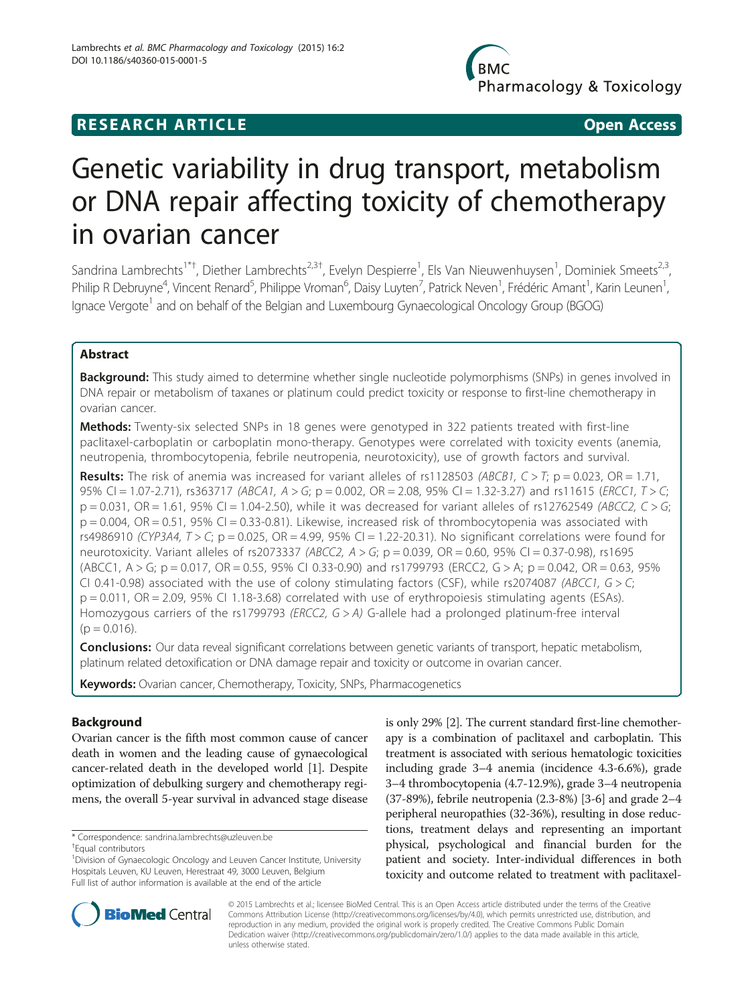# **RESEARCH ARTICLE Example 2018 12:00 Department of the Contract Open Access**

# Genetic variability in drug transport, metabolism or DNA repair affecting toxicity of chemotherapy in ovarian cancer

Sandrina Lambrechts<sup>1\*†</sup>, Diether Lambrechts<sup>2,3†</sup>, Evelyn Despierre<sup>1</sup>, Els Van Nieuwenhuysen<sup>1</sup>, Dominiek Smeets<sup>2,3</sup>, Philip R Debruyne<sup>4</sup>, Vincent Renard<sup>5</sup>, Philippe Vroman<sup>6</sup>, Daisy Luyten<sup>7</sup>, Patrick Neven<sup>1</sup>, Frédéric Amant<sup>1</sup>, Karin Leunen<sup>1</sup> , Ignace Vergote<sup>1</sup> and on behalf of the Belgian and Luxembourg Gynaecological Oncology Group (BGOG)

# Abstract

**Background:** This study aimed to determine whether single nucleotide polymorphisms (SNPs) in genes involved in DNA repair or metabolism of taxanes or platinum could predict toxicity or response to first-line chemotherapy in ovarian cancer.

Methods: Twenty-six selected SNPs in 18 genes were genotyped in 322 patients treated with first-line paclitaxel-carboplatin or carboplatin mono-therapy. Genotypes were correlated with toxicity events (anemia, neutropenia, thrombocytopenia, febrile neutropenia, neurotoxicity), use of growth factors and survival.

**Results:** The risk of anemia was increased for variant alleles of rs1128503 (ABCB1,  $C > T$ ; p = 0.023, OR = 1.71, 95% CI = 1.07-2.71), rs363717 (ABCA1, A > G; p = 0.002, OR = 2.08, 95% CI = 1.32-3.27) and rs11615 (ERCC1, T > C;  $p = 0.031$ , OR = 1.61, 95% CI = 1.04-2.50), while it was decreased for variant alleles of rs12762549 (ABCC2, C > G;  $p = 0.004$ ,  $OR = 0.51$ , 95% CI = 0.33-0.81). Likewise, increased risk of thrombocytopenia was associated with rs4986910 (CYP3A4,  $T > C$ ; p = 0.025, OR = 4.99, 95% CI = 1.22-20.31). No significant correlations were found for neurotoxicity. Variant alleles of rs2073337 (ABCC2,  $A > G$ ; p = 0.039, OR = 0.60, 95% CI = 0.37-0.98), rs1695 (ABCC1,  $A > G$ ;  $p = 0.017$ ,  $OR = 0.55$ , 95% CI 0.33-0.90) and rs1799793 (ERCC2,  $G > A$ ;  $p = 0.042$ ,  $OR = 0.63$ , 95% CI 0.41-0.98) associated with the use of colony stimulating factors (CSF), while rs2074087 (ABCC1,  $G > C$ ;  $p = 0.011$ ,  $OR = 2.09$ ,  $95\%$  CI 1.18-3.68) correlated with use of erythropoiesis stimulating agents (ESAs). Homozygous carriers of the rs1799793 (ERCC2, G > A) G-allele had a prolonged platinum-free interval  $(p = 0.016)$ .

**Conclusions:** Our data reveal significant correlations between genetic variants of transport, hepatic metabolism, platinum related detoxification or DNA damage repair and toxicity or outcome in ovarian cancer.

Keywords: Ovarian cancer, Chemotherapy, Toxicity, SNPs, Pharmacogenetics

# Background

Ovarian cancer is the fifth most common cause of cancer death in women and the leading cause of gynaecological cancer-related death in the developed world [\[1](#page-11-0)]. Despite optimization of debulking surgery and chemotherapy regimens, the overall 5-year survival in advanced stage disease

\* Correspondence: [sandrina.lambrechts@uzleuven.be](mailto:sandrina.lambrechts@uzleuven.be) †

Equal contributors

is only 29% [\[2](#page-11-0)]. The current standard first-line chemotherapy is a combination of paclitaxel and carboplatin. This treatment is associated with serious hematologic toxicities including grade 3–4 anemia (incidence 4.3-6.6%), grade 3–4 thrombocytopenia (4.7-12.9%), grade 3–4 neutropenia (37-89%), febrile neutropenia (2.3-8%) [\[3-6](#page-11-0)] and grade 2–4 peripheral neuropathies (32-36%), resulting in dose reductions, treatment delays and representing an important physical, psychological and financial burden for the patient and society. Inter-individual differences in both toxicity and outcome related to treatment with paclitaxel-



© 2015 Lambrechts et al.; licensee BioMed Central. This is an Open Access article distributed under the terms of the Creative Commons Attribution License [\(http://creativecommons.org/licenses/by/4.0\)](http://creativecommons.org/licenses/by/4.0), which permits unrestricted use, distribution, and reproduction in any medium, provided the original work is properly credited. The Creative Commons Public Domain Dedication waiver [\(http://creativecommons.org/publicdomain/zero/1.0/](http://creativecommons.org/publicdomain/zero/1.0/)) applies to the data made available in this article, unless otherwise stated.

<sup>&</sup>lt;sup>1</sup> Division of Gynaecologic Oncology and Leuven Cancer Institute, University Hospitals Leuven, KU Leuven, Herestraat 49, 3000 Leuven, Belgium Full list of author information is available at the end of the article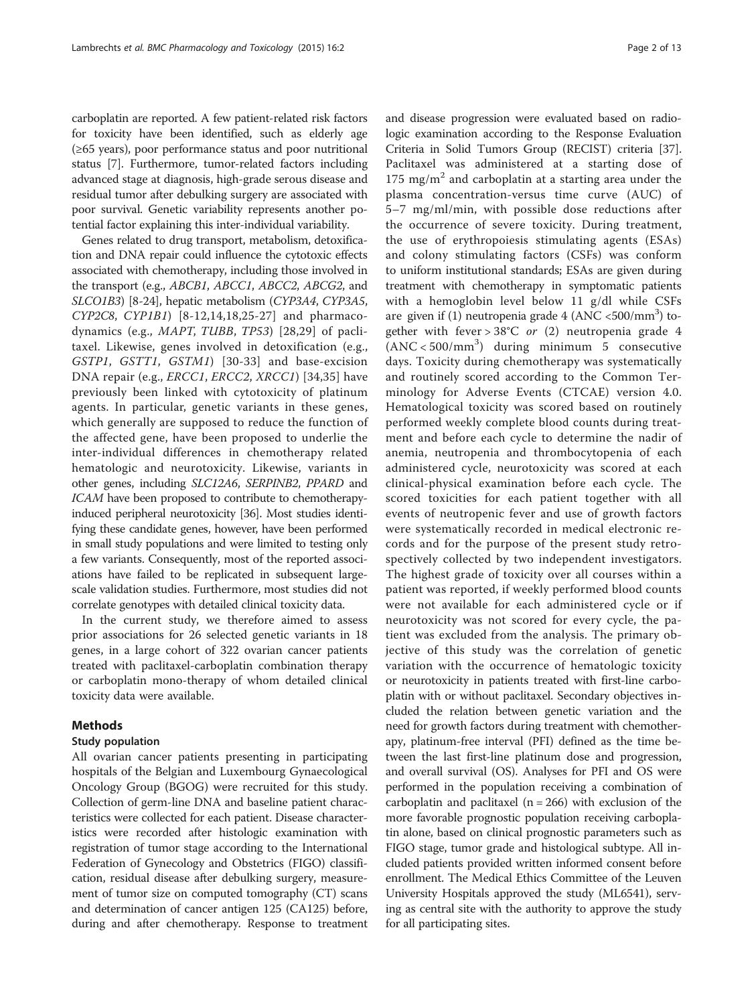carboplatin are reported. A few patient-related risk factors for toxicity have been identified, such as elderly age (≥65 years), poor performance status and poor nutritional status [[7\]](#page-11-0). Furthermore, tumor-related factors including advanced stage at diagnosis, high-grade serous disease and residual tumor after debulking surgery are associated with poor survival. Genetic variability represents another potential factor explaining this inter-individual variability.

Genes related to drug transport, metabolism, detoxification and DNA repair could influence the cytotoxic effects associated with chemotherapy, including those involved in the transport (e.g., ABCB1, ABCC1, ABCC2, ABCG2, and SLCO1B3) [[8-](#page-11-0)[24\]](#page-12-0), hepatic metabolism (CYP3A4, CYP3A5, CYP2C8, CYP1B1) [[8-](#page-11-0)[12,14,18,25](#page-12-0)-[27](#page-12-0)] and pharmacodynamics (e.g., MAPT, TUBB, TP53) [[28,29\]](#page-12-0) of paclitaxel. Likewise, genes involved in detoxification (e.g., GSTP1, GSTT1, GSTM1) [[30-33\]](#page-12-0) and base-excision DNA repair (e.g., *ERCC1*, *ERCC2*, *XRCC1*) [[34,35](#page-12-0)] have previously been linked with cytotoxicity of platinum agents. In particular, genetic variants in these genes, which generally are supposed to reduce the function of the affected gene, have been proposed to underlie the inter-individual differences in chemotherapy related hematologic and neurotoxicity. Likewise, variants in other genes, including SLC12A6, SERPINB2, PPARD and ICAM have been proposed to contribute to chemotherapyinduced peripheral neurotoxicity [[36\]](#page-12-0). Most studies identifying these candidate genes, however, have been performed in small study populations and were limited to testing only a few variants. Consequently, most of the reported associations have failed to be replicated in subsequent largescale validation studies. Furthermore, most studies did not correlate genotypes with detailed clinical toxicity data.

In the current study, we therefore aimed to assess prior associations for 26 selected genetic variants in 18 genes, in a large cohort of 322 ovarian cancer patients treated with paclitaxel-carboplatin combination therapy or carboplatin mono-therapy of whom detailed clinical toxicity data were available.

#### Methods

#### Study population

All ovarian cancer patients presenting in participating hospitals of the Belgian and Luxembourg Gynaecological Oncology Group (BGOG) were recruited for this study. Collection of germ-line DNA and baseline patient characteristics were collected for each patient. Disease characteristics were recorded after histologic examination with registration of tumor stage according to the International Federation of Gynecology and Obstetrics (FIGO) classification, residual disease after debulking surgery, measurement of tumor size on computed tomography (CT) scans and determination of cancer antigen 125 (CA125) before, during and after chemotherapy. Response to treatment

and disease progression were evaluated based on radiologic examination according to the Response Evaluation Criteria in Solid Tumors Group (RECIST) criteria [[37](#page-12-0)]. Paclitaxel was administered at a starting dose of 175 mg/ $m^2$  and carboplatin at a starting area under the plasma concentration-versus time curve (AUC) of 5–7 mg/ml/min, with possible dose reductions after the occurrence of severe toxicity. During treatment, the use of erythropoiesis stimulating agents (ESAs) and colony stimulating factors (CSFs) was conform to uniform institutional standards; ESAs are given during treatment with chemotherapy in symptomatic patients with a hemoglobin level below 11 g/dl while CSFs are given if (1) neutropenia grade 4 (ANC <500/mm<sup>3</sup>) together with fever >  $38^{\circ}$ C or (2) neutropenia grade 4 (ANC < 500/mm<sup>3</sup> ) during minimum 5 consecutive days. Toxicity during chemotherapy was systematically and routinely scored according to the Common Terminology for Adverse Events (CTCAE) version 4.0. Hematological toxicity was scored based on routinely performed weekly complete blood counts during treatment and before each cycle to determine the nadir of anemia, neutropenia and thrombocytopenia of each administered cycle, neurotoxicity was scored at each clinical-physical examination before each cycle. The scored toxicities for each patient together with all events of neutropenic fever and use of growth factors were systematically recorded in medical electronic records and for the purpose of the present study retrospectively collected by two independent investigators. The highest grade of toxicity over all courses within a patient was reported, if weekly performed blood counts were not available for each administered cycle or if neurotoxicity was not scored for every cycle, the patient was excluded from the analysis. The primary objective of this study was the correlation of genetic variation with the occurrence of hematologic toxicity or neurotoxicity in patients treated with first-line carboplatin with or without paclitaxel. Secondary objectives included the relation between genetic variation and the need for growth factors during treatment with chemotherapy, platinum-free interval (PFI) defined as the time between the last first-line platinum dose and progression, and overall survival (OS). Analyses for PFI and OS were performed in the population receiving a combination of carboplatin and paclitaxel ( $n = 266$ ) with exclusion of the more favorable prognostic population receiving carboplatin alone, based on clinical prognostic parameters such as FIGO stage, tumor grade and histological subtype. All included patients provided written informed consent before enrollment. The Medical Ethics Committee of the Leuven University Hospitals approved the study (ML6541), serving as central site with the authority to approve the study for all participating sites.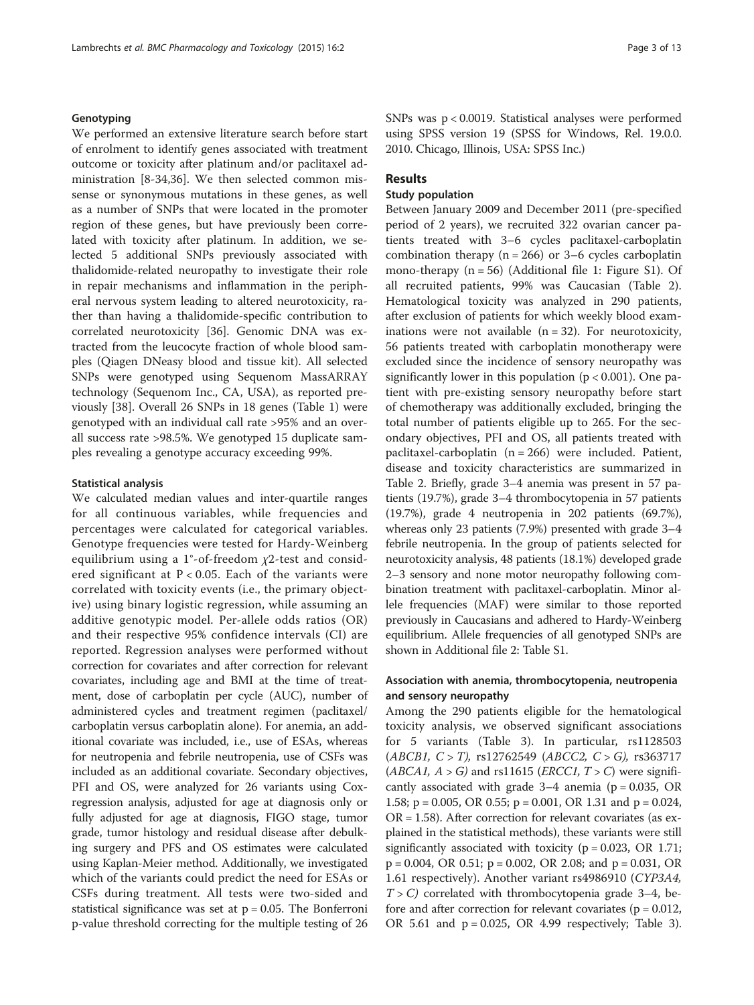#### Genotyping

We performed an extensive literature search before start of enrolment to identify genes associated with treatment outcome or toxicity after platinum and/or paclitaxel administration [\[8](#page-11-0)-[34](#page-12-0),[36](#page-12-0)]. We then selected common missense or synonymous mutations in these genes, as well as a number of SNPs that were located in the promoter region of these genes, but have previously been correlated with toxicity after platinum. In addition, we selected 5 additional SNPs previously associated with thalidomide-related neuropathy to investigate their role in repair mechanisms and inflammation in the peripheral nervous system leading to altered neurotoxicity, rather than having a thalidomide-specific contribution to correlated neurotoxicity [\[36\]](#page-12-0). Genomic DNA was extracted from the leucocyte fraction of whole blood samples (Qiagen DNeasy blood and tissue kit). All selected SNPs were genotyped using Sequenom MassARRAY technology (Sequenom Inc., CA, USA), as reported previously [\[38](#page-12-0)]. Overall 26 SNPs in 18 genes (Table [1\)](#page-3-0) were genotyped with an individual call rate >95% and an overall success rate >98.5%. We genotyped 15 duplicate samples revealing a genotype accuracy exceeding 99%.

#### Statistical analysis

We calculated median values and inter-quartile ranges for all continuous variables, while frequencies and percentages were calculated for categorical variables. Genotype frequencies were tested for Hardy-Weinberg equilibrium using a 1°-of-freedom  $\chi$ 2-test and considered significant at  $P < 0.05$ . Each of the variants were correlated with toxicity events (i.e., the primary objective) using binary logistic regression, while assuming an additive genotypic model. Per-allele odds ratios (OR) and their respective 95% confidence intervals (CI) are reported. Regression analyses were performed without correction for covariates and after correction for relevant covariates, including age and BMI at the time of treatment, dose of carboplatin per cycle (AUC), number of administered cycles and treatment regimen (paclitaxel/ carboplatin versus carboplatin alone). For anemia, an additional covariate was included, i.e., use of ESAs, whereas for neutropenia and febrile neutropenia, use of CSFs was included as an additional covariate. Secondary objectives, PFI and OS, were analyzed for 26 variants using Coxregression analysis, adjusted for age at diagnosis only or fully adjusted for age at diagnosis, FIGO stage, tumor grade, tumor histology and residual disease after debulking surgery and PFS and OS estimates were calculated using Kaplan-Meier method. Additionally, we investigated which of the variants could predict the need for ESAs or CSFs during treatment. All tests were two-sided and statistical significance was set at  $p = 0.05$ . The Bonferroni p-value threshold correcting for the multiple testing of 26

SNPs was p < 0.0019. Statistical analyses were performed using SPSS version 19 (SPSS for Windows, Rel. 19.0.0. 2010. Chicago, Illinois, USA: SPSS Inc.)

## Results

#### Study population

Between January 2009 and December 2011 (pre-specified period of 2 years), we recruited 322 ovarian cancer patients treated with 3–6 cycles paclitaxel-carboplatin combination therapy ( $n = 266$ ) or 3–6 cycles carboplatin mono-therapy (n = 56) (Additional file [1](#page-11-0): Figure S1). Of all recruited patients, 99% was Caucasian (Table [2](#page-5-0)). Hematological toxicity was analyzed in 290 patients, after exclusion of patients for which weekly blood examinations were not available  $(n = 32)$ . For neurotoxicity, 56 patients treated with carboplatin monotherapy were excluded since the incidence of sensory neuropathy was significantly lower in this population ( $p < 0.001$ ). One patient with pre-existing sensory neuropathy before start of chemotherapy was additionally excluded, bringing the total number of patients eligible up to 265. For the secondary objectives, PFI and OS, all patients treated with paclitaxel-carboplatin (n = 266) were included. Patient, disease and toxicity characteristics are summarized in Table [2.](#page-5-0) Briefly, grade 3–4 anemia was present in 57 patients (19.7%), grade 3–4 thrombocytopenia in 57 patients (19.7%), grade 4 neutropenia in 202 patients (69.7%), whereas only 23 patients (7.9%) presented with grade 3–4 febrile neutropenia. In the group of patients selected for neurotoxicity analysis, 48 patients (18.1%) developed grade 2–3 sensory and none motor neuropathy following combination treatment with paclitaxel-carboplatin. Minor allele frequencies (MAF) were similar to those reported previously in Caucasians and adhered to Hardy-Weinberg equilibrium. Allele frequencies of all genotyped SNPs are shown in Additional file [2](#page-11-0): Table S1.

# Association with anemia, thrombocytopenia, neutropenia and sensory neuropathy

Among the 290 patients eligible for the hematological toxicity analysis, we observed significant associations for 5 variants (Table [3](#page-7-0)). In particular, rs1128503  $(ABCB1, C > T)$ , rs12762549  $(ABCC2, C > G)$ , rs363717 (*ABCA1*,  $A > G$ ) and rs11615 (*ERCC1*,  $T > C$ ) were significantly associated with grade  $3-4$  anemia (p = 0.035, OR 1.58; p = 0.005, OR 0.55; p = 0.001, OR 1.31 and p = 0.024,  $OR = 1.58$ ). After correction for relevant covariates (as explained in the statistical methods), these variants were still significantly associated with toxicity ( $p = 0.023$ , OR 1.71; p = 0.004, OR 0.51; p = 0.002, OR 2.08; and p = 0.031, OR 1.61 respectively). Another variant rs4986910 (CYP3A4,  $T > C$ ) correlated with thrombocytopenia grade 3-4, before and after correction for relevant covariates ( $p = 0.012$ , OR 5.61 and p = 0.025, OR 4.99 respectively; Table [3](#page-7-0)).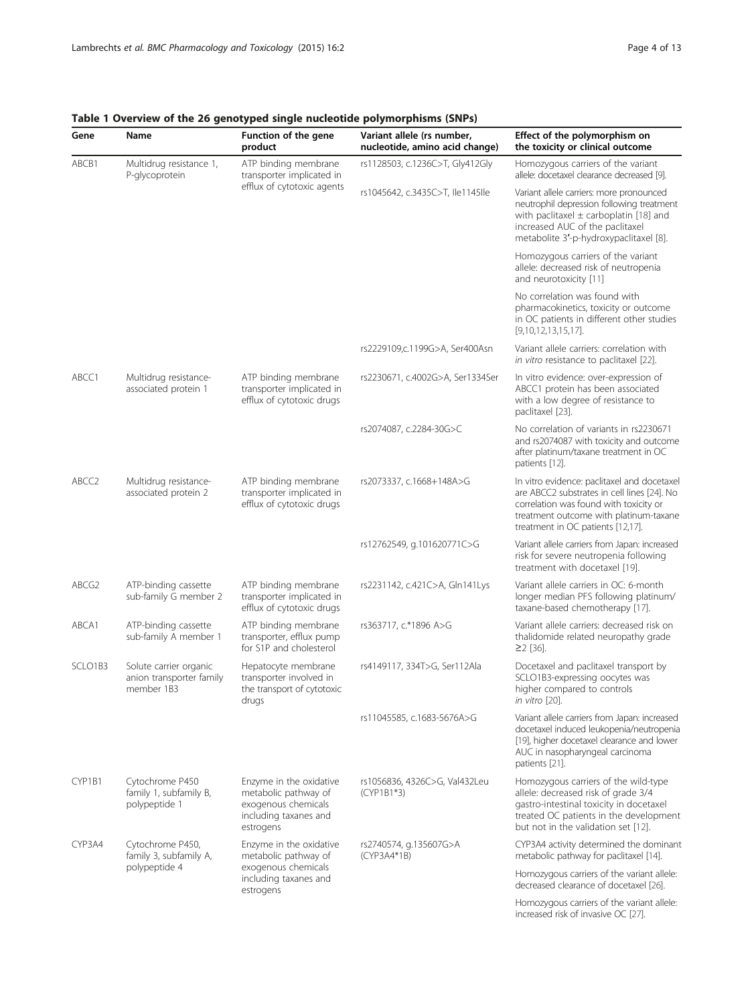| Gene              | Name                                                             | Function of the gene<br>product                                                                              | Variant allele (rs number,<br>nucleotide, amino acid change) | Effect of the polymorphism on<br>the toxicity or clinical outcome                                                                                                                                                   |
|-------------------|------------------------------------------------------------------|--------------------------------------------------------------------------------------------------------------|--------------------------------------------------------------|---------------------------------------------------------------------------------------------------------------------------------------------------------------------------------------------------------------------|
| ABCB1             | Multidrug resistance 1,<br>P-glycoprotein                        | ATP binding membrane<br>transporter implicated in                                                            | rs1128503, c.1236C>T, Gly412Gly                              | Homozygous carriers of the variant<br>allele: docetaxel clearance decreased [9].                                                                                                                                    |
|                   |                                                                  | efflux of cytotoxic agents                                                                                   | rs1045642, c.3435C>T, lle1145lle                             | Variant allele carriers: more pronounced<br>neutrophil depression following treatment<br>with paclitaxel $\pm$ carboplatin [18] and<br>increased AUC of the paclitaxel<br>metabolite 3'-p-hydroxypaclitaxel [8].    |
|                   |                                                                  |                                                                                                              |                                                              | Homozygous carriers of the variant<br>allele: decreased risk of neutropenia<br>and neurotoxicity [11]                                                                                                               |
|                   |                                                                  |                                                                                                              |                                                              | No correlation was found with<br>pharmacokinetics, toxicity or outcome<br>in OC patients in different other studies<br>$[9,10,12,13,15,17]$ .                                                                       |
|                   |                                                                  |                                                                                                              | rs2229109,c.1199G>A, Ser400Asn                               | Variant allele carriers: correlation with<br>in vitro resistance to paclitaxel [22].                                                                                                                                |
| ABCC1             | Multidrug resistance-<br>associated protein 1                    | ATP binding membrane<br>transporter implicated in<br>efflux of cytotoxic drugs                               | rs2230671, c.4002G>A, Ser1334Ser                             | In vitro evidence: over-expression of<br>ABCC1 protein has been associated<br>with a low degree of resistance to<br>paclitaxel [23].                                                                                |
|                   |                                                                  |                                                                                                              | rs2074087, c.2284-30G>C                                      | No correlation of variants in rs2230671<br>and rs2074087 with toxicity and outcome<br>after platinum/taxane treatment in OC<br>patients [12].                                                                       |
| ABCC <sub>2</sub> | Multidrug resistance-<br>associated protein 2                    | ATP binding membrane<br>transporter implicated in<br>efflux of cytotoxic drugs                               | rs2073337, c.1668+148A>G                                     | In vitro evidence: paclitaxel and docetaxel<br>are ABCC2 substrates in cell lines [24]. No<br>correlation was found with toxicity or<br>treatment outcome with platinum-taxane<br>treatment in OC patients [12,17]. |
|                   |                                                                  |                                                                                                              | rs12762549, g.101620771C>G                                   | Variant allele carriers from Japan: increased<br>risk for severe neutropenia following<br>treatment with docetaxel [19].                                                                                            |
| ABCG2             | ATP-binding cassette<br>sub-family G member 2                    | ATP binding membrane<br>transporter implicated in<br>efflux of cytotoxic drugs                               | rs2231142, c.421C>A, Gln141Lys                               | Variant allele carriers in OC: 6-month<br>longer median PFS following platinum/<br>taxane-based chemotherapy [17].                                                                                                  |
| ABCA1             | ATP-binding cassette<br>sub-family A member 1                    | ATP binding membrane<br>transporter, efflux pump<br>for S1P and cholesterol                                  | rs363717, c.*1896 A>G                                        | Variant allele carriers: decreased risk on<br>thalidomide related neuropathy grade<br>$\geq$ 2 [36].                                                                                                                |
| SCLO1B3           | Solute carrier organic<br>anion transporter family<br>member 1B3 | Hepatocyte membrane<br>transporter involved in<br>the transport of cytotoxic<br>drugs                        | rs4149117, 334T>G, Ser112Ala                                 | Docetaxel and paclitaxel transport by<br>SCLO1B3-expressing oocytes was<br>higher compared to controls<br>in vitro [20].                                                                                            |
|                   |                                                                  |                                                                                                              | rs11045585, c.1683-5676A>G                                   | Variant allele carriers from Japan: increased<br>docetaxel induced leukopenia/neutropenia<br>[19], higher docetaxel clearance and lower<br>AUC in nasopharyngeal carcinoma<br>patients [21].                        |
| CYP1B1            | Cytochrome P450<br>family 1, subfamily B,<br>polypeptide 1       | Enzyme in the oxidative<br>metabolic pathway of<br>exogenous chemicals<br>including taxanes and<br>estrogens | rs1056836, 4326C>G, Val432Leu<br>(CYP1B1*3)                  | Homozygous carriers of the wild-type<br>allele: decreased risk of grade 3/4<br>gastro-intestinal toxicity in docetaxel<br>treated OC patients in the development<br>but not in the validation set [12].             |
| CYP3A4            | Cytochrome P450,<br>family 3, subfamily A,                       | Enzyme in the oxidative<br>metabolic pathway of                                                              | rs2740574, g.135607G>A<br>$(CYP3A4*1B)$                      | CYP3A4 activity determined the dominant<br>metabolic pathway for paclitaxel [14].                                                                                                                                   |
|                   | polypeptide 4                                                    | exogenous chemicals<br>including taxanes and<br>estrogens                                                    |                                                              | Homozygous carriers of the variant allele:<br>decreased clearance of docetaxel [26].                                                                                                                                |
|                   |                                                                  |                                                                                                              |                                                              | Homozygous carriers of the variant allele:<br>increased risk of invasive OC [27].                                                                                                                                   |

# <span id="page-3-0"></span>Table 1 Overview of the 26 genotyped single nucleotide polymorphisms (SNPs)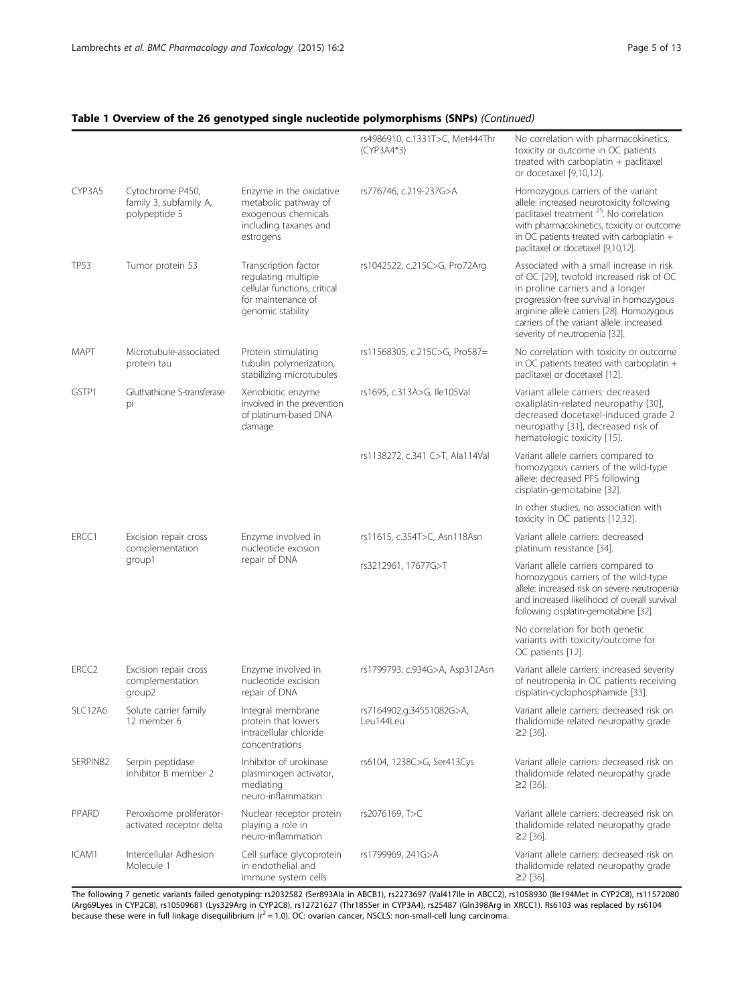# Table 1 Overview of the 26 genotyped single nucleotide polymorphisms (SNPs) (Continued)

|                   |                                                             |                                                                                                                        | rs4986910, c.1331T>C, Met444Thr<br>$(CYP3A4*3)$ | No correlation with pharmacokinetics,<br>toxicity or outcome in OC patients<br>treated with carboplatin + paclitaxel<br>or docetaxel [9,10,12].                                                                                                                                                |
|-------------------|-------------------------------------------------------------|------------------------------------------------------------------------------------------------------------------------|-------------------------------------------------|------------------------------------------------------------------------------------------------------------------------------------------------------------------------------------------------------------------------------------------------------------------------------------------------|
| CYP3A5            | Cytochrome P450,<br>family 3, subfamily A,<br>polypeptide 5 | Enzyme in the oxidative<br>metabolic pathway of<br>exogenous chemicals<br>including taxanes and<br>estrogens           | rs776746, c.219-237G>A                          | Homozygous carriers of the variant<br>allele: increased neurotoxicity following<br>paclitaxel treatment <sup>25</sup> . No correlation<br>with pharmacokinetics, toxicity or outcome<br>in OC patients treated with carboplatin +<br>paclitaxel or docetaxel [9,10,12].                        |
| <b>TP53</b>       | Tumor protein 53                                            | Transcription factor<br>regulating multiple<br>cellular functions, critical<br>for maintenance of<br>genomic stability | rs1042522, c.215C>G, Pro72Arg                   | Associated with a small increase in risk<br>of OC [29], twofold increased risk of OC<br>in proline carriers and a longer<br>progression-free survival in homozygous<br>arginine allele carriers [28]. Homozygous<br>carriers of the variant allele: increased<br>severity of neutropenia [32]. |
| <b>MAPT</b>       | Microtubule-associated<br>protein tau                       | Protein stimulating<br>tubulin polymerization,<br>stabilizing microtubules                                             | rs11568305, c.215C>G, Pro587=                   | No correlation with toxicity or outcome<br>in OC patients treated with carboplatin +<br>paclitaxel or docetaxel [12].                                                                                                                                                                          |
| GSTP1             | Gluthathione S-transferase<br>pi                            | Xenobiotic enzyme<br>involved in the prevention<br>of platinum-based DNA<br>damage                                     | rs1695, c.313A>G, lle105Val                     | Variant allele carriers: decreased<br>oxaliplatin-related neuropathy [30],<br>decreased docetaxel-induced grade 2<br>neuropathy [31], decreased risk of<br>hematologic toxicity [15].                                                                                                          |
|                   |                                                             |                                                                                                                        | rs1138272, c.341 C>T, Ala114Val                 | Variant allele carriers compared to<br>homozygous carriers of the wild-type<br>allele: decreased PFS following<br>cisplatin-gemcitabine [32].                                                                                                                                                  |
|                   |                                                             |                                                                                                                        |                                                 | In other studies, no association with<br>toxicity in OC patients [12,32].                                                                                                                                                                                                                      |
| ERCC1             | Excision repair cross<br>complementation                    | Enzyme involved in<br>nucleotide excision                                                                              | rs11615, c.354T>C, Asn118Asn                    | Variant allele carriers: decreased<br>platinum resistance [34].                                                                                                                                                                                                                                |
|                   | group1                                                      | repair of DNA                                                                                                          | rs3212961, 17677G>T                             | Variant allele carriers compared to<br>homozygous carriers of the wild-type<br>allele: increased risk on severe neutropenia<br>and increased likelihood of overall survival<br>following cisplatin-gemcitabine [32].                                                                           |
|                   |                                                             |                                                                                                                        |                                                 | No correlation for both genetic<br>variants with toxicity/outcome for<br>OC patients [12].                                                                                                                                                                                                     |
| ERCC <sub>2</sub> | Excision repair cross<br>complementation<br>group2          | Enzyme involved in<br>nucleotide excision<br>repair of DNA                                                             | rs1799793, c.934G>A, Asp312Asn                  | Variant allele carriers: increased severity<br>of neutropenia in OC patients receiving<br>cisplatin-cyclophosphamide [33].                                                                                                                                                                     |
| SLC12A6           | Solute carrier family<br>12 member 6                        | Integral membrane<br>protein that lowers<br>intracellular chloride<br>concentrations                                   | rs7164902,g.34551082G>A,<br>Leu144Leu           | Variant allele carriers: decreased risk on<br>thalidomide related neuropathy grade<br>$\geq$ [36].                                                                                                                                                                                             |
| SERPINB2          | Serpin peptidase<br>inhibitor B member 2                    | Inhibitor of urokinase<br>plasminogen activator,<br>mediating<br>neuro-inflammation                                    | rs6104, 1238C>G, Ser413Cys                      | Variant allele carriers: decreased risk on<br>thalidomide related neuropathy grade<br>$≥2$ [36].                                                                                                                                                                                               |
| PPARD             | Peroxisome proliferator-<br>activated receptor delta        | Nuclear receptor protein<br>playing a role in<br>neuro-inflammation                                                    | rs2076169, T>C                                  | Variant allele carriers: decreased risk on<br>thalidomide related neuropathy grade<br>$\geq$ [36].                                                                                                                                                                                             |
| ICAM1             | Intercellular Adhesion<br>Molecule 1                        | Cell surface glycoprotein<br>in endothelial and<br>immune system cells                                                 | rs1799969, 241G>A                               | Variant allele carriers: decreased risk on<br>thalidomide related neuropathy grade<br>≥2 [36].                                                                                                                                                                                                 |

The following 7 genetic variants failed genotyping: rs2032582 (Ser893Ala in ABCB1), rs2273697 (Val417Ile in ABCC2), rs1058930 (Ile194Met in CYP2C8), rs11572080 (Arg69Lyes in CYP2C8), rs10509681 (Lys329Arg in CYP2C8), rs12721627 (Thr185Ser in CYP3A4), rs25487 (Gln398Arg in XRCC1). Rs6103 was replaced by rs6104<br>because these were in full linkage disequilibrium (r<sup>2</sup> = 1.0). OC: ova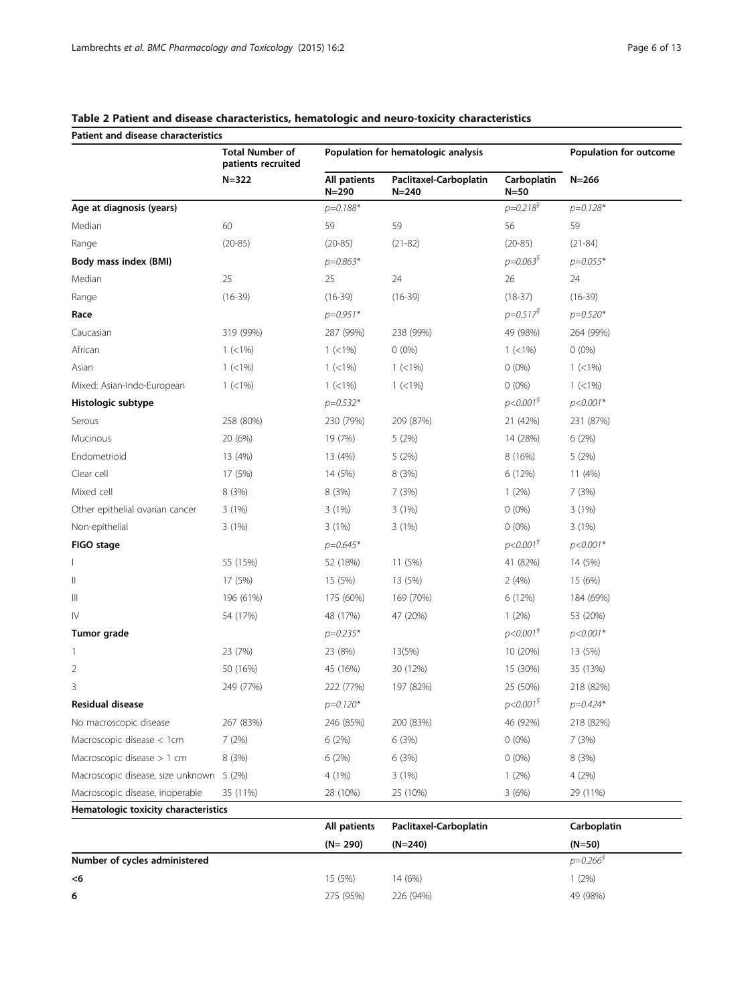| Patient and disease characteristics  | <b>Total Number of</b><br>patients recruited |                           | Population for hematologic analysis |                           | Population for outcome |
|--------------------------------------|----------------------------------------------|---------------------------|-------------------------------------|---------------------------|------------------------|
|                                      | $N = 322$                                    | All patients<br>$N = 290$ | Paclitaxel-Carboplatin<br>$N = 240$ | Carboplatin<br>$N = 50$   | $N = 266$              |
| Age at diagnosis (years)             |                                              | $p = 0.188*$              |                                     | $p = 0.218^{6}$           | $p=0.128*$             |
| Median                               | 60                                           | 59                        | 59                                  | 56                        | 59                     |
| Range                                | $(20-85)$                                    | $(20-85)$                 | $(21-82)$                           | $(20-85)$                 | $(21-84)$              |
| Body mass index (BMI)                |                                              | $p = 0.863*$              |                                     | $p = 0.063^{\circ}$       | $p = 0.055*$           |
| Median                               | 25                                           | 25                        | 24                                  | 26                        | 24                     |
| Range                                | $(16-39)$                                    | $(16-39)$                 | $(16-39)$                           | $(18-37)$                 | $(16-39)$              |
| Race                                 |                                              | $p=0.951*$                |                                     | $p = 0.517^{\circ}$       | $p = 0.520*$           |
| Caucasian                            | 319 (99%)                                    | 287 (99%)                 | 238 (99%)                           | 49 (98%)                  | 264 (99%)              |
| African                              | $1 (< 1\%)$                                  | $1 (< 1\%)$               | $0(0\%)$                            | $1 (< 1\%)$               | $0(0\%)$               |
| Asian                                | $1 (< 1\%)$                                  | $1 (< 1\%)$               | $1 (< 1\%)$                         | $0(0\%)$                  | $1 (< 1\%)$            |
| Mixed: Asian-Indo-European           | $1 (< 1\%)$                                  | $1 (< 1\%)$               | $1 (< 1\%)$                         | $0(0\%)$                  | $1 (< 1\%)$            |
| Histologic subtype                   |                                              | $p = 0.532*$              |                                     | $p<0.001^5$               | $p < 0.001*$           |
| Serous                               | 258 (80%)                                    | 230 (79%)                 | 209 (87%)                           | 21 (42%)                  | 231 (87%)              |
| Mucinous                             | 20 (6%)                                      | 19 (7%)                   | 5(2%)                               | 14 (28%)                  | 6(2%)                  |
| Endometrioid                         | 13 (4%)                                      | 13 (4%)                   | 5(2%)                               | 8 (16%)                   | 5(2%)                  |
| Clear cell                           | 17 (5%)                                      | 14 (5%)                   | 8(3%)                               | 6 (12%)                   | 11(4%)                 |
| Mixed cell                           | 8 (3%)                                       | 8 (3%)                    | 7 (3%)                              | 1(2%)                     | 7(3%)                  |
| Other epithelial ovarian cancer      | 3(1%)                                        | 3(1%)                     | 3(1%)                               | $0(0\%)$                  | 3(1%)                  |
| Non-epithelial                       | 3(1%)                                        | 3(1%)                     | 3(1%)                               | $0(0\%)$                  | 3(1%)                  |
| FIGO stage                           |                                              | $p = 0.645*$              |                                     | $p<0.001^5$               | $p < 0.001*$           |
|                                      | 55 (15%)                                     | 52 (18%)                  | 11 (5%)                             | 41 (82%)                  | 14 (5%)                |
| $\mathbb I$                          | 17 (5%)                                      | 15 (5%)                   | 13 (5%)                             | 2(4%)                     | 15 (6%)                |
| Ш                                    | 196 (61%)                                    | 175 (60%)                 | 169 (70%)                           | 6 (12%)                   | 184 (69%)              |
| $\mathsf{IV}$                        | 54 (17%)                                     | 48 (17%)                  | 47 (20%)                            | 1(2%)                     | 53 (20%)               |
| Tumor grade                          |                                              | $p = 0.235*$              |                                     | p<0.001 <sup>9</sup>      | $p < 0.001*$           |
| 1                                    | 23 (7%)                                      | 23 (8%)                   | 13(5%)                              | 10 (20%)                  | 13 (5%)                |
| 2                                    | 50 (16%)                                     | 45 (16%)                  | 30 (12%)                            | 15 (30%)                  | 35 (13%)               |
| 3                                    | 249 (77%)                                    | 222 (77%)                 | 197 (82%)                           | 25 (50%)                  | 218 (82%)              |
| Residual disease                     |                                              | $p=0.120*$                |                                     | $p < 0.001^{\frac{6}{5}}$ | $p = 0.424*$           |
| No macroscopic disease               | 267 (83%)                                    | 246 (85%)                 | 200 (83%)                           | 46 (92%)                  | 218 (82%)              |
| Macroscopic disease $<$ 1cm          | 7(2%)                                        | 6(2%)                     | 6(3%)                               | $0(0\%)$                  | 7(3%)                  |
| Macroscopic disease $> 1$ cm         | 8(3%)                                        | 6 (2%)                    | 6(3%)                               | $0(0\%)$                  | 8 (3%)                 |
| Macroscopic disease, size unknown    | 5(2%)                                        | 4 (1%)                    | 3(1%)                               | 1(2%)                     | 4(2%)                  |
| Macroscopic disease, inoperable      | 35 (11%)                                     | 28 (10%)                  | 25 (10%)                            | 3(6%)                     | 29 (11%)               |
| Hematologic toxicity characteristics |                                              |                           |                                     |                           |                        |

# <span id="page-5-0"></span>Table 2 Patient and disease characteristics, hematologic and neuro-toxicity characteristics

|                               | All patients | Paclitaxel-Carboplatin | Carboplatin         |
|-------------------------------|--------------|------------------------|---------------------|
|                               | $(N = 290)$  | $(N=240)$              | $(N=50)$            |
| Number of cycles administered |              |                        | $p = 0.266^{\circ}$ |
| <6                            | 15 (5%)      | 14 (6%)                | $1(2\%)$            |
| 6                             | 275 (95%)    | 226 (94%)              | 49 (98%)            |
|                               |              |                        |                     |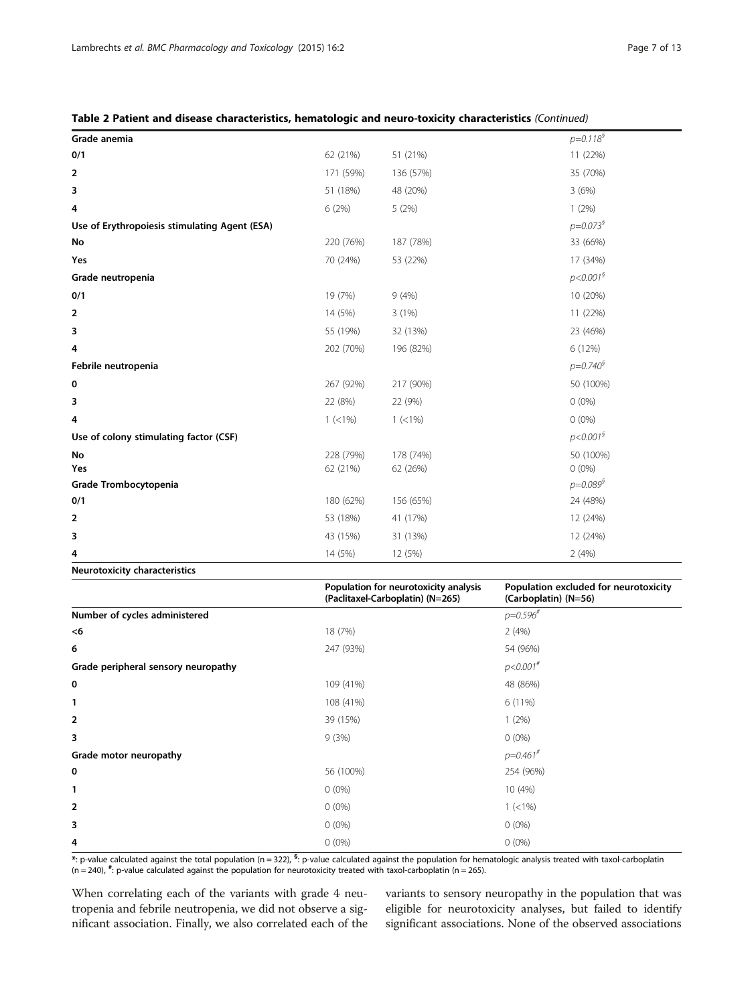| Grade anemia                                  |             |             | $p=0.118^{6}$       |
|-----------------------------------------------|-------------|-------------|---------------------|
| 0/1                                           | 62 (21%)    | 51 (21%)    | 11 (22%)            |
| 2                                             | 171 (59%)   | 136 (57%)   | 35 (70%)            |
| 3                                             | 51 (18%)    | 48 (20%)    | 3(6%)               |
| 4                                             | 6(2%)       | 5(2%)       | 1(2%)               |
| Use of Erythropoiesis stimulating Agent (ESA) |             |             | $p = 0.073^{\circ}$ |
| No                                            | 220 (76%)   | 187 (78%)   | 33 (66%)            |
| Yes                                           | 70 (24%)    | 53 (22%)    | 17 (34%)            |
| Grade neutropenia                             |             |             | $p < 0.001^5$       |
| 0/1                                           | 19 (7%)     | 9(4%)       | 10 (20%)            |
| 2                                             | 14 (5%)     | 3(1%)       | 11 (22%)            |
| 3                                             | 55 (19%)    | 32 (13%)    | 23 (46%)            |
| 4                                             | 202 (70%)   | 196 (82%)   | 6 (12%)             |
| Febrile neutropenia                           |             |             | $p = 0.740^{\circ}$ |
| 0                                             | 267 (92%)   | 217 (90%)   | 50 (100%)           |
| 3                                             | 22 (8%)     | 22 (9%)     | $0(0\%)$            |
| 4                                             | $1 (< 1\%)$ | $1 (< 1\%)$ | $0(0\%)$            |
| Use of colony stimulating factor (CSF)        |             |             | $p < 0.001^5$       |
| No                                            | 228 (79%)   | 178 (74%)   | 50 (100%)           |
| Yes                                           | 62 (21%)    | 62 (26%)    | $0(0\%)$            |
| Grade Trombocytopenia                         |             |             | $p = 0.089^{\circ}$ |
| 0/1                                           | 180 (62%)   | 156 (65%)   | 24 (48%)            |
| 2                                             | 53 (18%)    | 41 (17%)    | 12 (24%)            |
| 3                                             | 43 (15%)    | 31 (13%)    | 12 (24%)            |
| 4                                             | 14 (5%)     | 12 (5%)     | 2(4%)               |
| Neurotoxicity characteristics                 |             |             |                     |

|  |  |  |  |  | Table 2 Patient and disease characteristics, hematologic and neuro-toxicity characteristics (Continued) |  |  |  |  |  |  |  |
|--|--|--|--|--|---------------------------------------------------------------------------------------------------------|--|--|--|--|--|--|--|
|--|--|--|--|--|---------------------------------------------------------------------------------------------------------|--|--|--|--|--|--|--|

|                                     | Population for neurotoxicity analysis<br>(Paclitaxel-Carboplatin) (N=265) | Population excluded for neurotoxicity<br>(Carboplatin) (N=56) |
|-------------------------------------|---------------------------------------------------------------------------|---------------------------------------------------------------|
| Number of cycles administered       |                                                                           | $p = 0.596$ #                                                 |
| <6                                  | 18 (7%)                                                                   | 2(4%)                                                         |
| 6                                   | 247 (93%)                                                                 | 54 (96%)                                                      |
| Grade peripheral sensory neuropathy |                                                                           | $p < 0.001$ #                                                 |
| 0                                   | 109 (41%)                                                                 | 48 (86%)                                                      |
| 1                                   | 108 (41%)                                                                 | $6(11\%)$                                                     |
| 2                                   | 39 (15%)                                                                  | 1(2%)                                                         |
| 3                                   | 9(3%)                                                                     | $0(0\%)$                                                      |
| Grade motor neuropathy              |                                                                           | $p=0.461^{*}$                                                 |
| 0                                   | 56 (100%)                                                                 | 254 (96%)                                                     |
| 1                                   | $0(0\%)$                                                                  | 10 (4%)                                                       |
| 2                                   | $0(0\%)$                                                                  | $1 (< 1\%)$                                                   |
| 3                                   | $0(0\%)$                                                                  | $0(0\%)$                                                      |
| 4                                   | $0(0\%)$                                                                  | $0(0\%)$                                                      |

\*: p-value calculated against the total population (n = 322), <sup>s</sup>: p-value calculated against the population for hematologic analysis treated with taxol-carboplatin  $(n = 240)$ ,  $*$ : p-value calculated against the population for neurotoxicity treated with taxol-carboplatin (n = 265).

When correlating each of the variants with grade 4 neutropenia and febrile neutropenia, we did not observe a significant association. Finally, we also correlated each of the variants to sensory neuropathy in the population that was eligible for neurotoxicity analyses, but failed to identify significant associations. None of the observed associations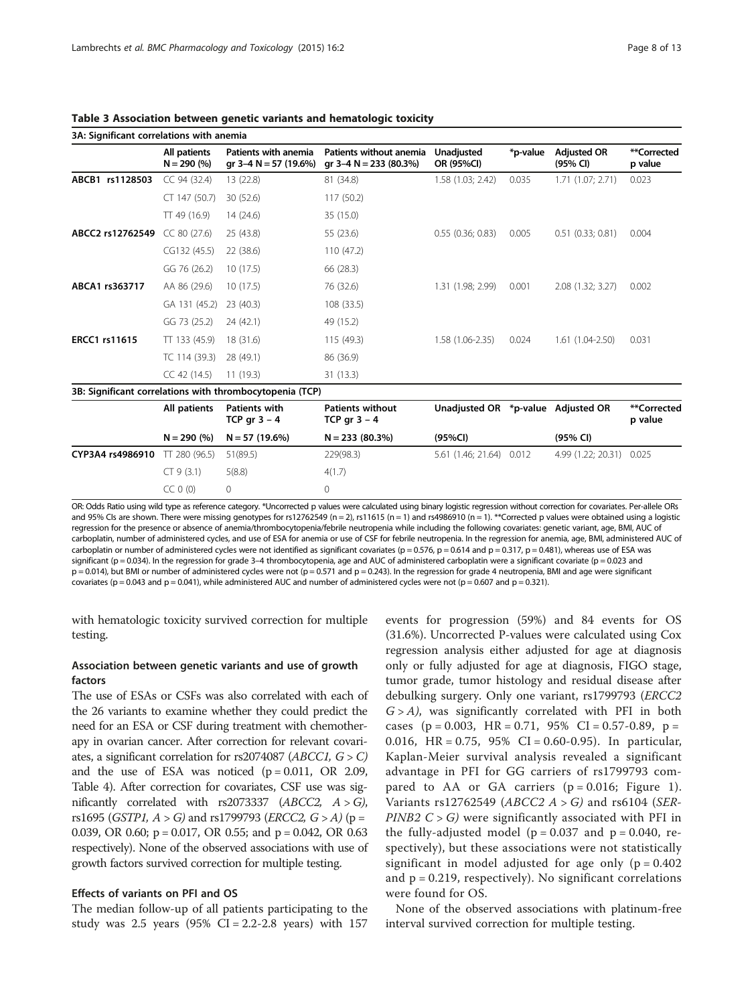|                      | All patients<br>$N = 290 (%)$ | Patients with anemia<br>gr 3–4 $N = 57$ (19.6%)          | Patients without anemia<br>gr $3-4$ N = 233 (80.3%) | <b>Unadjusted</b><br>OR (95%CI)    | *p-value | <b>Adjusted OR</b><br>(95% CI) | **Corrected<br>p value |
|----------------------|-------------------------------|----------------------------------------------------------|-----------------------------------------------------|------------------------------------|----------|--------------------------------|------------------------|
| ABCB1 rs1128503      | CC 94 (32.4)                  | 13 (22.8)                                                | 81 (34.8)                                           | 1.58 (1.03; 2.42)                  | 0.035    | 1.71 (1.07; 2.71)              | 0.023                  |
|                      | CT 147 (50.7)                 | 30 (52.6)                                                | 117 (50.2)                                          |                                    |          |                                |                        |
|                      | $TT$ 49 (16.9)                | 14 (24.6)                                                | 35 (15.0)                                           |                                    |          |                                |                        |
| ABCC2 rs12762549     | CC 80 (27.6)                  | 25 (43.8)                                                | 55 (23.6)                                           | 0.55(0.36; 0.83)                   | 0.005    | $0.51$ $(0.33; 0.81)$          | 0.004                  |
|                      | CG132 (45.5)                  | 22 (38.6)                                                | 110 (47.2)                                          |                                    |          |                                |                        |
|                      | GG 76 (26.2)                  | 10(17.5)                                                 | 66 (28.3)                                           |                                    |          |                                |                        |
| ABCA1 rs363717       | AA 86 (29.6)                  | 10(17.5)                                                 | 76 (32.6)                                           | 1.31 (1.98; 2.99)                  | 0.001    | 2.08 (1.32; 3.27)              | 0.002                  |
|                      | GA 131 (45.2)                 | 23(40.3)                                                 | 108 (33.5)                                          |                                    |          |                                |                        |
|                      | GG 73 (25.2)                  | 24 (42.1)                                                | 49 (15.2)                                           |                                    |          |                                |                        |
| <b>ERCC1 rs11615</b> | $TT$ 133 (45.9)               | 18 (31.6)                                                | 115 (49.3)                                          | 1.58 (1.06-2.35)                   | 0.024    | 1.61 (1.04-2.50)               | 0.031                  |
|                      | TC 114 (39.3)                 | 28 (49.1)                                                | 86 (36.9)                                           |                                    |          |                                |                        |
|                      | CC 42 (14.5)                  | 11(19.3)                                                 | 31 (13.3)                                           |                                    |          |                                |                        |
|                      |                               | 3B: Significant correlations with thrombocytopenia (TCP) |                                                     |                                    |          |                                |                        |
|                      | All patients                  | <b>Patients with</b><br>TCP gr $3 - 4$                   | <b>Patients without</b><br>TCP gr $3 - 4$           | Unadjusted OR *p-value Adjusted OR |          |                                | **Corrected<br>p value |
|                      | $N = 290 (%)$                 | $N = 57(19.6%)$                                          | $N = 233(80.3%)$                                    | (95%CI)                            |          | (95% CI)                       |                        |
| CYP3A4 rs4986910     | TT 280 (96.5)                 | 51(89.5)                                                 | 229(98.3)                                           | 5.61 (1.46; 21.64)                 | 0.012    | 4.99 (1.22; 20.31)             | 0.025                  |
|                      | CT 9(3.1)                     | 5(8.8)                                                   | 4(1.7)                                              |                                    |          |                                |                        |
|                      | $CC 0$ $(0)$                  | 0                                                        | 0                                                   |                                    |          |                                |                        |

<span id="page-7-0"></span>Table 3 Association between genetic variants and hematologic toxicity

OR: Odds Ratio using wild type as reference category. \*Uncorrected p values were calculated using binary logistic regression without correction for covariates. Per-allele ORs and 95% CIs are shown. There were missing genotypes for rs12762549 (n = 2), rs11615 (n = 1) and rs4986910 (n = 1). \*\*Corrected p values were obtained using a logistic regression for the presence or absence of anemia/thrombocytopenia/febrile neutropenia while including the following covariates: genetic variant, age, BMI, AUC of carboplatin, number of administered cycles, and use of ESA for anemia or use of CSF for febrile neutropenia. In the regression for anemia, age, BMI, administered AUC of carboplatin or number of administered cycles were not identified as significant covariates ( $p = 0.576$ ,  $p = 0.614$  and  $p = 0.317$ ,  $p = 0.481$ ), whereas use of ESA was significant (p = 0.034). In the regression for grade 3-4 thrombocytopenia, age and AUC of administered carboplatin were a significant covariate (p = 0.023 and p = 0.014), but BMI or number of administered cycles were not (p = 0.571 and p = 0.243). In the regression for grade 4 neutropenia, BMI and age were significant covariates (p = 0.043 and p = 0.041), while administered AUC and number of administered cycles were not (p = 0.607 and p = 0.321).

with hematologic toxicity survived correction for multiple testing.

#### Association between genetic variants and use of growth factors

The use of ESAs or CSFs was also correlated with each of the 26 variants to examine whether they could predict the need for an ESA or CSF during treatment with chemotherapy in ovarian cancer. After correction for relevant covariates, a significant correlation for rs2074087 ( $ABCCI$ ,  $G > C$ ) and the use of ESA was noticed  $(p = 0.011, \text{ OR } 2.09,$ Table [4](#page-8-0)). After correction for covariates, CSF use was significantly correlated with rs2073337 ( $ABCC2$ ,  $A > G$ ), rs1695 (GSTP1,  $A > G$ ) and rs1799793 (ERCC2,  $G > A$ ) (p = 0.039, OR 0.60; p = 0.017, OR 0.55; and p = 0.042, OR 0.63 respectively). None of the observed associations with use of growth factors survived correction for multiple testing.

#### Effects of variants on PFI and OS

The median follow-up of all patients participating to the study was  $2.5$  years (95% CI = 2.2-2.8 years) with 157

events for progression (59%) and 84 events for OS (31.6%). Uncorrected P-values were calculated using Cox regression analysis either adjusted for age at diagnosis only or fully adjusted for age at diagnosis, FIGO stage, tumor grade, tumor histology and residual disease after debulking surgery. Only one variant, rs1799793 (ERCC2  $G > A$ , was significantly correlated with PFI in both cases ( $p = 0.003$ , HR = 0.71, 95% CI = 0.57-0.89,  $p =$ 0.016, HR = 0.75, 95% CI = 0.60-0.95). In particular, Kaplan-Meier survival analysis revealed a significant advantage in PFI for GG carriers of rs1799793 compared to AA or GA carriers  $(p = 0.016;$  Figure [1](#page-8-0)). Variants rs12762549 ( $ABCC2$  A > G) and rs6104 (SER-PINB2  $C > G$ ) were significantly associated with PFI in the fully-adjusted model ( $p = 0.037$  and  $p = 0.040$ , respectively), but these associations were not statistically significant in model adjusted for age only ( $p = 0.402$ ) and  $p = 0.219$ , respectively). No significant correlations were found for OS.

None of the observed associations with platinum-free interval survived correction for multiple testing.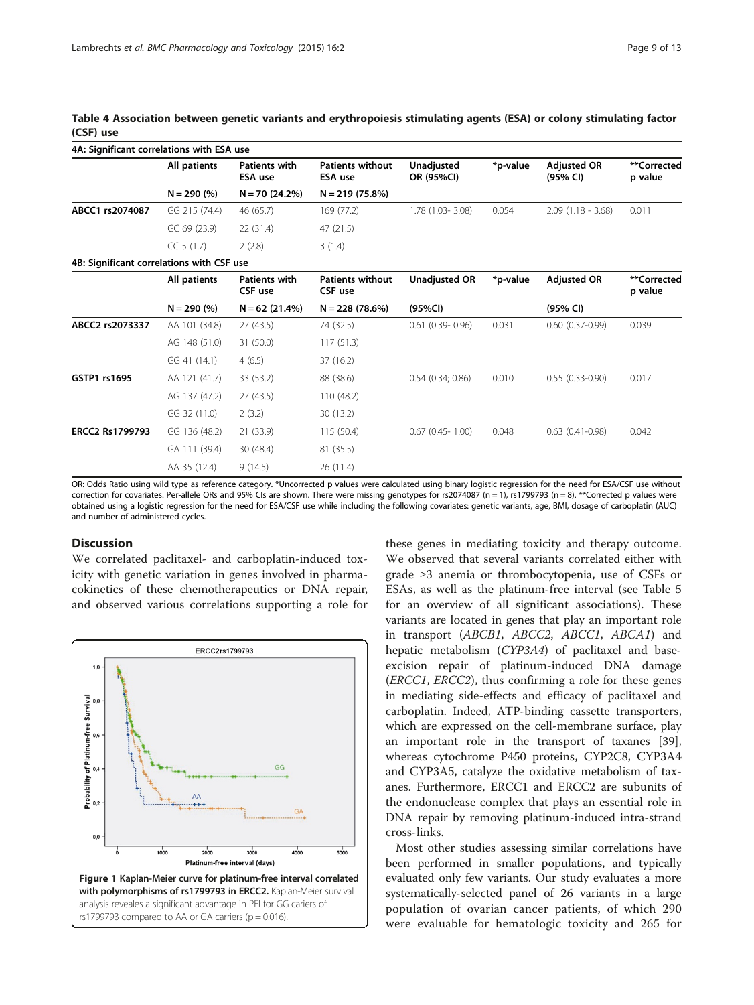|                                           | 4A: Significant correlations with ESA use |                                        |                                           |                          |          |                                |                        |  |  |  |
|-------------------------------------------|-------------------------------------------|----------------------------------------|-------------------------------------------|--------------------------|----------|--------------------------------|------------------------|--|--|--|
|                                           | All patients                              | <b>Patients with</b><br><b>ESA use</b> | <b>Patients without</b><br><b>ESA use</b> | Unadjusted<br>OR (95%CI) | *p-value | <b>Adiusted OR</b><br>(95% CI) | **Corrected<br>p value |  |  |  |
|                                           | $N = 290 (%)$                             | $N = 70(24.2%)$                        | $N = 219(75.8%)$                          |                          |          |                                |                        |  |  |  |
| ABCC1 rs2074087                           | GG 215 (74.4)                             | 46 (65.7)                              | 169 (77.2)                                | 1.78 (1.03-3.08)         | 0.054    | $2.09(1.18 - 3.68)$            | 0.011                  |  |  |  |
|                                           | GC 69 (23.9)                              | 22 (31.4)                              | 47 (21.5)                                 |                          |          |                                |                        |  |  |  |
|                                           | CC 5(1.7)                                 | 2(2.8)                                 | 3(1.4)                                    |                          |          |                                |                        |  |  |  |
| 4B: Significant correlations with CSF use |                                           |                                        |                                           |                          |          |                                |                        |  |  |  |
|                                           | All patients                              | <b>Patients with</b><br>CSF use        | <b>Patients without</b><br>CSF use        | <b>Unadjusted OR</b>     | *p-value | <b>Adjusted OR</b>             | **Corrected<br>p value |  |  |  |
|                                           | $N = 290 (%)$                             | $N = 62$ (21.4%)                       | $N = 228(78.6%)$                          | (95%CI)                  |          | (95% CI)                       |                        |  |  |  |
| ABCC2 rs2073337                           | AA 101 (34.8)                             | 27(43.5)                               | 74 (32.5)                                 | $0.61$ (0.39- 0.96)      | 0.031    | $0.60(0.37-0.99)$              | 0.039                  |  |  |  |
|                                           | AG 148 (51.0)                             | 31 (50.0)                              | 117(51.3)                                 |                          |          |                                |                        |  |  |  |
|                                           | GG 41 (14.1)                              | 4(6.5)                                 | 37 (16.2)                                 |                          |          |                                |                        |  |  |  |
| GSTP1 rs1695                              | AA 121 (41.7)                             | 33 (53.2)                              | 88 (38.6)                                 | 0.54(0.34; 0.86)         | 0.010    | $0.55(0.33-0.90)$              | 0.017                  |  |  |  |
|                                           | AG 137 (47.2)                             | 27(43.5)                               | 110 (48.2)                                |                          |          |                                |                        |  |  |  |
|                                           | GG 32 (11.0)                              | 2(3.2)                                 | 30 (13.2)                                 |                          |          |                                |                        |  |  |  |
| <b>ERCC2 Rs1799793</b>                    | GG 136 (48.2)                             | 21 (33.9)                              | 115(50.4)                                 | $0.67$ (0.45-1.00)       | 0.048    | $0.63(0.41 - 0.98)$            | 0.042                  |  |  |  |
|                                           | GA 111 (39.4)                             | 30 (48.4)                              | 81 (35.5)                                 |                          |          |                                |                        |  |  |  |
|                                           | AA 35 (12.4)                              | 9(14.5)                                | 26(11.4)                                  |                          |          |                                |                        |  |  |  |

<span id="page-8-0"></span>Table 4 Association between genetic variants and erythropoiesis stimulating agents (ESA) or colony stimulating factor (CSF) use

OR: Odds Ratio using wild type as reference category. \*Uncorrected p values were calculated using binary logistic regression for the need for ESA/CSF use without correction for covariates. Per-allele ORs and 95% CIs are shown. There were missing genotypes for rs2074087 (n = 1), rs1799793 (n = 8). \*\*Corrected p values were obtained using a logistic regression for the need for ESA/CSF use while including the following covariates: genetic variants, age, BMI, dosage of carboplatin (AUC) and number of administered cycles.

#### **Discussion**

We correlated paclitaxel- and carboplatin-induced toxicity with genetic variation in genes involved in pharmacokinetics of these chemotherapeutics or DNA repair, and observed various correlations supporting a role for



these genes in mediating toxicity and therapy outcome. We observed that several variants correlated either with grade ≥3 anemia or thrombocytopenia, use of CSFs or ESAs, as well as the platinum-free interval (see Table [5](#page-9-0) for an overview of all significant associations). These variants are located in genes that play an important role in transport (ABCB1, ABCC2, ABCC1, ABCA1) and hepatic metabolism (CYP3A4) of paclitaxel and baseexcision repair of platinum-induced DNA damage (ERCC1, ERCC2), thus confirming a role for these genes in mediating side-effects and efficacy of paclitaxel and carboplatin. Indeed, ATP-binding cassette transporters, which are expressed on the cell-membrane surface, play an important role in the transport of taxanes [\[39](#page-12-0)], whereas cytochrome P450 proteins, CYP2C8, CYP3A4 and CYP3A5, catalyze the oxidative metabolism of taxanes. Furthermore, ERCC1 and ERCC2 are subunits of the endonuclease complex that plays an essential role in DNA repair by removing platinum-induced intra-strand cross-links.

Most other studies assessing similar correlations have been performed in smaller populations, and typically evaluated only few variants. Our study evaluates a more systematically-selected panel of 26 variants in a large population of ovarian cancer patients, of which 290 were evaluable for hematologic toxicity and 265 for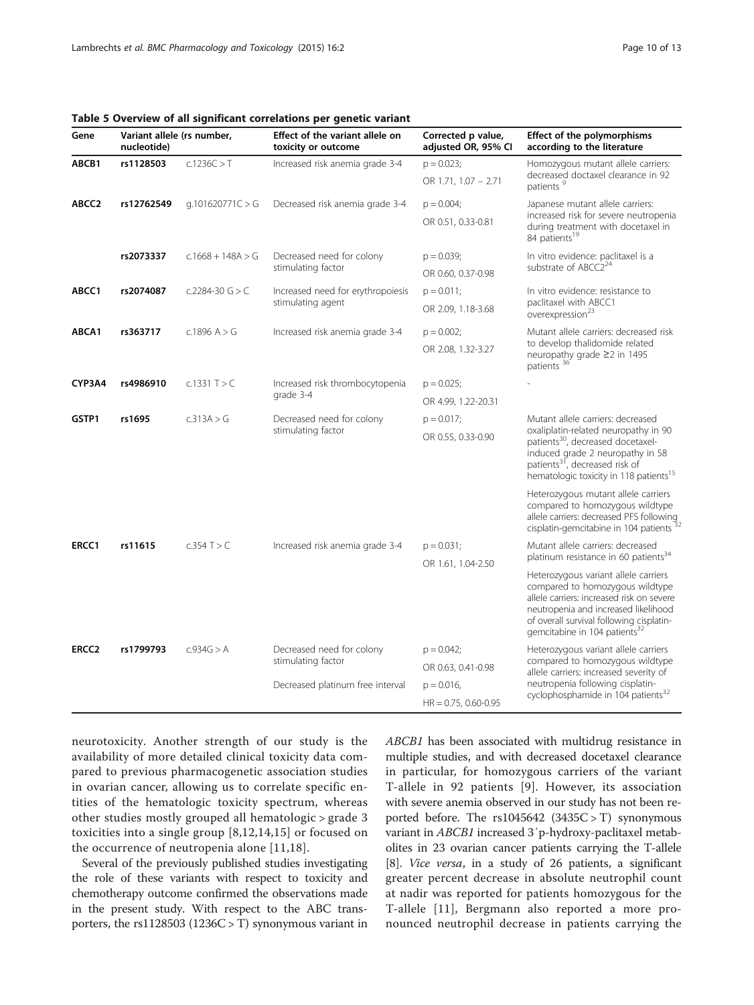<span id="page-9-0"></span>Table 5 Overview of all significant correlations per genetic variant

| Gene              | Variant allele (rs number,<br>nucleotide) |                     | Effect of the variant allele on<br>toxicity or outcome | Corrected p value,<br>adjusted OR, 95% CI | <b>Effect of the polymorphisms</b><br>according to the literature                                                                                                                                                                                     |  |
|-------------------|-------------------------------------------|---------------------|--------------------------------------------------------|-------------------------------------------|-------------------------------------------------------------------------------------------------------------------------------------------------------------------------------------------------------------------------------------------------------|--|
| ABCB1             | rs1128503                                 | c.1236C > T         | Increased risk anemia grade 3-4                        | $p = 0.023$ ;                             | Homozygous mutant allele carriers:                                                                                                                                                                                                                    |  |
|                   |                                           |                     |                                                        | OR 1.71, 1.07 - 2.71                      | decreased doctaxel clearance in 92<br>patients <sup>9</sup>                                                                                                                                                                                           |  |
| ABCC <sub>2</sub> | rs12762549                                | q.101620771C > G    | Decreased risk anemia grade 3-4                        | $p = 0.004$ ;                             | Japanese mutant allele carriers:                                                                                                                                                                                                                      |  |
|                   |                                           |                     |                                                        | OR 0.51, 0.33-0.81                        | increased risk for severe neutropenia<br>during treatment with docetaxel in<br>84 patients <sup>19</sup>                                                                                                                                              |  |
|                   | rs2073337                                 | $c.1668 + 148A > G$ | Decreased need for colony                              | $p = 0.039;$                              | In vitro evidence: paclitaxel is a                                                                                                                                                                                                                    |  |
|                   |                                           |                     | stimulating factor                                     | OR 0.60, 0.37-0.98                        | substrate of ABCC2 <sup>24</sup>                                                                                                                                                                                                                      |  |
| ABCC1             | rs2074087                                 | c.2284-30 $G > C$   | Increased need for erythropoiesis                      | $p = 0.011$ ;                             | In vitro evidence: resistance to                                                                                                                                                                                                                      |  |
|                   |                                           |                     | stimulating agent                                      | OR 2.09, 1.18-3.68                        | paclitaxel with ABCC1<br>overexpression <sup>23</sup>                                                                                                                                                                                                 |  |
| ABCA1             | rs363717                                  | c.1896 $A > G$      | Increased risk anemia grade 3-4                        | $p = 0.002$ ;                             | Mutant allele carriers: decreased risk                                                                                                                                                                                                                |  |
|                   |                                           |                     |                                                        | OR 2.08, 1.32-3.27                        | to develop thalidomide related<br>neuropathy grade ≥2 in 1495<br>patients <sup>36</sup>                                                                                                                                                               |  |
| CYP3A4            | rs4986910                                 | c.1331 $T > C$      | Increased risk thrombocytopenia<br>grade 3-4           | $p = 0.025$ ;                             |                                                                                                                                                                                                                                                       |  |
|                   |                                           |                     |                                                        | OR 4.99, 1.22-20.31                       |                                                                                                                                                                                                                                                       |  |
| GSTP1             | rs1695                                    | c.313A > G          | Decreased need for colony<br>stimulating factor        | $p = 0.017$ ;                             | Mutant allele carriers: decreased                                                                                                                                                                                                                     |  |
|                   |                                           |                     |                                                        | OR 0.55, 0.33-0.90                        | oxaliplatin-related neuropathy in 90<br>patients <sup>30</sup> , decreased docetaxel-<br>induced grade 2 neuropathy in 58<br>patients <sup>31</sup> , decreased risk of<br>hematologic toxicity in 118 patients <sup>15</sup>                         |  |
|                   |                                           |                     |                                                        |                                           | Heterozygous mutant allele carriers<br>compared to homozygous wildtype<br>allele carriers: decreased PFS following<br>cisplatin-gemcitabine in 104 patients <sup>32</sup>                                                                             |  |
| ERCC1             | rs11615                                   | $c.354$ T $> 0$     | Increased risk anemia grade 3-4                        | $p = 0.031$ ;                             | Mutant allele carriers: decreased                                                                                                                                                                                                                     |  |
|                   |                                           |                     |                                                        | OR 1.61, 1.04-2.50                        | platinum resistance in 60 patients <sup>34</sup>                                                                                                                                                                                                      |  |
|                   |                                           |                     |                                                        |                                           | Heterozygous variant allele carriers<br>compared to homozygous wildtype<br>allele carriers: increased risk on severe<br>neutropenia and increased likelihood<br>of overall survival following cisplatin-<br>gemcitabine in 104 patients <sup>32</sup> |  |
| <b>ERCC2</b>      | rs1799793                                 | c.934G > A          | Decreased need for colony                              | $p = 0.042$ ;                             | Heterozygous variant allele carriers                                                                                                                                                                                                                  |  |
|                   |                                           |                     | stimulating factor                                     | OR 0.63, 0.41-0.98                        | compared to homozygous wildtype<br>allele carriers: increased severity of                                                                                                                                                                             |  |
|                   |                                           |                     | Decreased platinum free interval                       | $p = 0.016$ ,                             | neutropenia following cisplatin-                                                                                                                                                                                                                      |  |
|                   |                                           |                     |                                                        | $HR = 0.75, 0.60 - 0.95$                  | cyclophosphamide in 104 patients <sup>32</sup>                                                                                                                                                                                                        |  |

neurotoxicity. Another strength of our study is the availability of more detailed clinical toxicity data compared to previous pharmacogenetic association studies in ovarian cancer, allowing us to correlate specific entities of the hematologic toxicity spectrum, whereas other studies mostly grouped all hematologic > grade 3 toxicities into a single group [[8,](#page-11-0)[12](#page-12-0),[14,15](#page-12-0)] or focused on the occurrence of neutropenia alone [\[11](#page-11-0),[18\]](#page-12-0).

Several of the previously published studies investigating the role of these variants with respect to toxicity and chemotherapy outcome confirmed the observations made in the present study. With respect to the ABC transporters, the rs1128503 (1236 $C > T$ ) synonymous variant in ABCB1 has been associated with multidrug resistance in multiple studies, and with decreased docetaxel clearance in particular, for homozygous carriers of the variant T-allele in 92 patients [[9\]](#page-11-0). However, its association with severe anemia observed in our study has not been reported before. The rs1045642 (3435C > T) synonymous variant in ABCB1 increased 3′p-hydroxy-paclitaxel metabolites in 23 ovarian cancer patients carrying the T-allele [[8\]](#page-11-0). Vice versa, in a study of 26 patients, a significant greater percent decrease in absolute neutrophil count at nadir was reported for patients homozygous for the T-allele [[11](#page-11-0)], Bergmann also reported a more pronounced neutrophil decrease in patients carrying the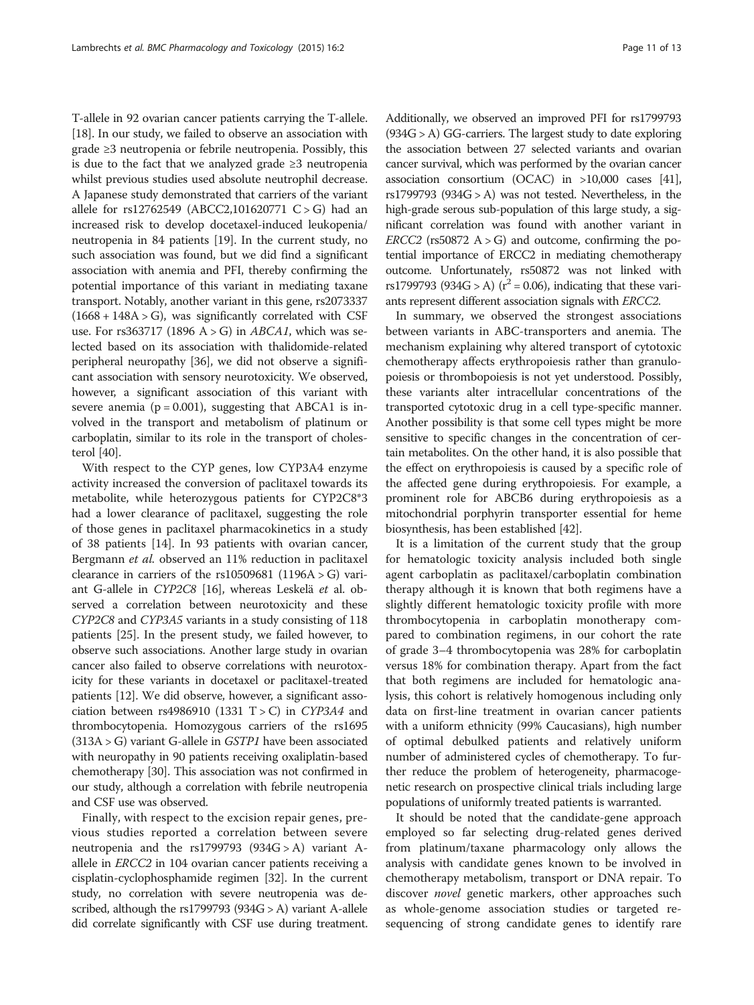T-allele in 92 ovarian cancer patients carrying the T-allele. [[18](#page-12-0)]. In our study, we failed to observe an association with grade ≥3 neutropenia or febrile neutropenia. Possibly, this is due to the fact that we analyzed grade ≥3 neutropenia whilst previous studies used absolute neutrophil decrease. A Japanese study demonstrated that carriers of the variant allele for rs12762549 (ABCC2,101620771 C > G) had an increased risk to develop docetaxel-induced leukopenia/ neutropenia in 84 patients [\[19\]](#page-12-0). In the current study, no such association was found, but we did find a significant association with anemia and PFI, thereby confirming the potential importance of this variant in mediating taxane transport. Notably, another variant in this gene, rs2073337  $(1668 + 148A > G)$ , was significantly correlated with CSF use. For rs363717 (1896  $A > G$ ) in ABCA1, which was selected based on its association with thalidomide-related peripheral neuropathy [\[36\]](#page-12-0), we did not observe a significant association with sensory neurotoxicity. We observed, however, a significant association of this variant with severe anemia ( $p = 0.001$ ), suggesting that ABCA1 is involved in the transport and metabolism of platinum or carboplatin, similar to its role in the transport of cholesterol [[40\]](#page-12-0).

With respect to the CYP genes, low CYP3A4 enzyme activity increased the conversion of paclitaxel towards its metabolite, while heterozygous patients for CYP2C8\*3 had a lower clearance of paclitaxel, suggesting the role of those genes in paclitaxel pharmacokinetics in a study of 38 patients [[14\]](#page-12-0). In 93 patients with ovarian cancer, Bergmann et al. observed an 11% reduction in paclitaxel clearance in carriers of the rs10509681 (1196A  $>$  G) variant G-allele in CYP2C8 [[16](#page-12-0)], whereas Leskelä et al. observed a correlation between neurotoxicity and these CYP2C8 and CYP3A5 variants in a study consisting of 118 patients [\[25\]](#page-12-0). In the present study, we failed however, to observe such associations. Another large study in ovarian cancer also failed to observe correlations with neurotoxicity for these variants in docetaxel or paclitaxel-treated patients [\[12\]](#page-12-0). We did observe, however, a significant association between rs4986910 (1331 T > C) in CYP3A4 and thrombocytopenia. Homozygous carriers of the rs1695  $(313A > G)$  variant G-allele in *GSTP1* have been associated with neuropathy in 90 patients receiving oxaliplatin-based chemotherapy [[30](#page-12-0)]. This association was not confirmed in our study, although a correlation with febrile neutropenia and CSF use was observed.

Finally, with respect to the excision repair genes, previous studies reported a correlation between severe neutropenia and the rs1799793 (934G > A) variant Aallele in ERCC2 in 104 ovarian cancer patients receiving a cisplatin-cyclophosphamide regimen [\[32\]](#page-12-0). In the current study, no correlation with severe neutropenia was described, although the rs1799793 (934 $G > A$ ) variant A-allele did correlate significantly with CSF use during treatment.

Additionally, we observed an improved PFI for rs1799793 (934G > A) GG-carriers. The largest study to date exploring the association between 27 selected variants and ovarian cancer survival, which was performed by the ovarian cancer association consortium (OCAC) in >10,000 cases [\[41](#page-12-0)], rs1799793 (934 $G > A$ ) was not tested. Nevertheless, in the high-grade serous sub-population of this large study, a significant correlation was found with another variant in  $ERCC2$  (rs50872 A > G) and outcome, confirming the potential importance of ERCC2 in mediating chemotherapy outcome. Unfortunately, rs50872 was not linked with rs1799793 (934G > A) ( $r^2$  = 0.06), indicating that these variants represent different association signals with ERCC2.

In summary, we observed the strongest associations between variants in ABC-transporters and anemia. The mechanism explaining why altered transport of cytotoxic chemotherapy affects erythropoiesis rather than granulopoiesis or thrombopoiesis is not yet understood. Possibly, these variants alter intracellular concentrations of the transported cytotoxic drug in a cell type-specific manner. Another possibility is that some cell types might be more sensitive to specific changes in the concentration of certain metabolites. On the other hand, it is also possible that the effect on erythropoiesis is caused by a specific role of the affected gene during erythropoiesis. For example, a prominent role for ABCB6 during erythropoiesis as a mitochondrial porphyrin transporter essential for heme biosynthesis, has been established [\[42\]](#page-12-0).

It is a limitation of the current study that the group for hematologic toxicity analysis included both single agent carboplatin as paclitaxel/carboplatin combination therapy although it is known that both regimens have a slightly different hematologic toxicity profile with more thrombocytopenia in carboplatin monotherapy compared to combination regimens, in our cohort the rate of grade 3–4 thrombocytopenia was 28% for carboplatin versus 18% for combination therapy. Apart from the fact that both regimens are included for hematologic analysis, this cohort is relatively homogenous including only data on first-line treatment in ovarian cancer patients with a uniform ethnicity (99% Caucasians), high number of optimal debulked patients and relatively uniform number of administered cycles of chemotherapy. To further reduce the problem of heterogeneity, pharmacogenetic research on prospective clinical trials including large populations of uniformly treated patients is warranted.

It should be noted that the candidate-gene approach employed so far selecting drug-related genes derived from platinum/taxane pharmacology only allows the analysis with candidate genes known to be involved in chemotherapy metabolism, transport or DNA repair. To discover *novel* genetic markers, other approaches such as whole-genome association studies or targeted resequencing of strong candidate genes to identify rare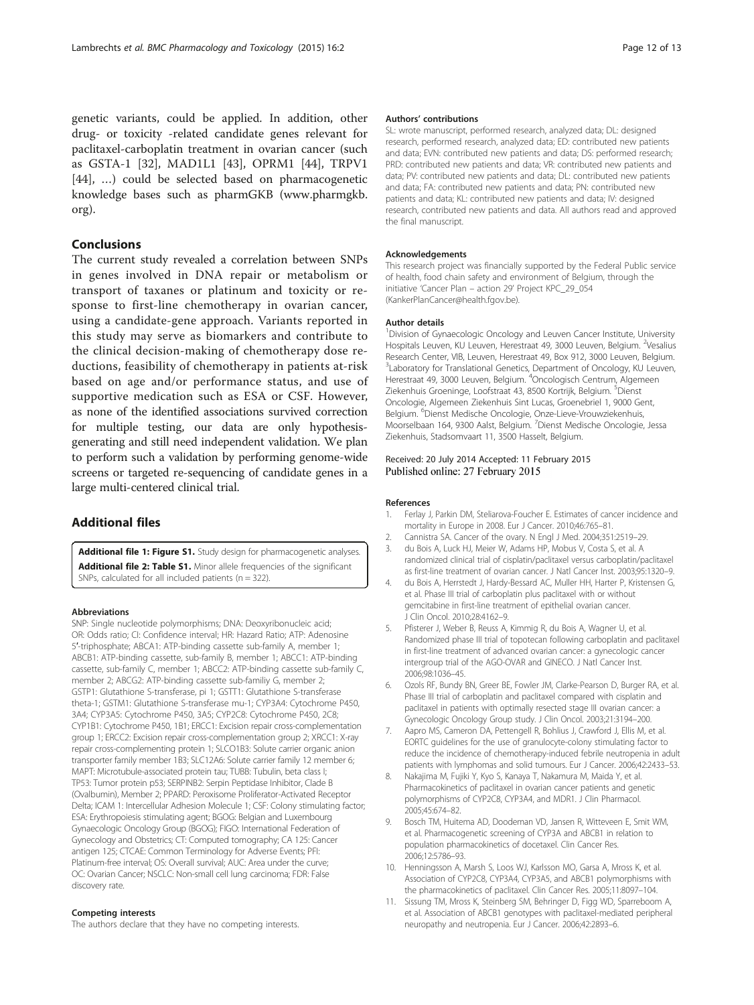<span id="page-11-0"></span>genetic variants, could be applied. In addition, other drug- or toxicity -related candidate genes relevant for paclitaxel-carboplatin treatment in ovarian cancer (such as GSTA-1 [[32\]](#page-12-0), MAD1L1 [\[43](#page-12-0)], OPRM1 [\[44\]](#page-12-0), TRPV1 [[44\]](#page-12-0), …) could be selected based on pharmacogenetic knowledge bases such as pharmGKB [\(www.pharmgkb.](http://www.pharmgkb.org) [org](http://www.pharmgkb.org)).

## **Conclusions**

The current study revealed a correlation between SNPs in genes involved in DNA repair or metabolism or transport of taxanes or platinum and toxicity or response to first-line chemotherapy in ovarian cancer, using a candidate-gene approach. Variants reported in this study may serve as biomarkers and contribute to the clinical decision-making of chemotherapy dose reductions, feasibility of chemotherapy in patients at-risk based on age and/or performance status, and use of supportive medication such as ESA or CSF. However, as none of the identified associations survived correction for multiple testing, our data are only hypothesisgenerating and still need independent validation. We plan to perform such a validation by performing genome-wide screens or targeted re-sequencing of candidate genes in a large multi-centered clinical trial.

# Additional files

[Additional file 1: Figure S1.](http://www.biomedcentral.com/content/supplementary/s40360-015-0001-5-s1.pptx) Study design for pharmacogenetic analyses. [Additional file 2: Table S1.](http://www.biomedcentral.com/content/supplementary/s40360-015-0001-5-s2.doc) Minor allele frequencies of the significant SNPs, calculated for all included patients (n = 322).

#### Abbreviations

SNP: Single nucleotide polymorphisms; DNA: Deoxyribonucleic acid; OR: Odds ratio; CI: Confidence interval; HR: Hazard Ratio; ATP: Adenosine 5′-triphosphate; ABCA1: ATP-binding cassette sub-family A, member 1; ABCB1: ATP-binding cassette, sub-family B, member 1; ABCC1: ATP-binding cassette, sub-family C, member 1; ABCC2: ATP-binding cassette sub-family C, member 2; ABCG2: ATP-binding cassette sub-familiy G, member 2; GSTP1: Glutathione S-transferase, pi 1; GSTT1: Glutathione S-transferase theta-1; GSTM1: Glutathione S-transferase mu-1; CYP3A4: Cytochrome P450, 3A4; CYP3A5: Cytochrome P450, 3A5; CYP2C8: Cytochrome P450, 2C8; CYP1B1: Cytochrome P450, 1B1; ERCC1: Excision repair cross-complementation group 1; ERCC2: Excision repair cross-complementation group 2; XRCC1: X-ray repair cross-complementing protein 1; SLCO1B3: Solute carrier organic anion transporter family member 1B3; SLC12A6: Solute carrier family 12 member 6; MAPT: Microtubule-associated protein tau; TUBB: Tubulin, beta class I; TP53: Tumor protein p53; SERPINB2: Serpin Peptidase Inhibitor, Clade B (Ovalbumin), Member 2; PPARD: Peroxisome Proliferator-Activated Receptor Delta; ICAM 1: Intercellular Adhesion Molecule 1; CSF: Colony stimulating factor; ESA: Erythropoiesis stimulating agent; BGOG: Belgian and Luxembourg Gynaecologic Oncology Group (BGOG); FIGO: International Federation of Gynecology and Obstetrics; CT: Computed tomography; CA 125: Cancer antigen 125; CTCAE: Common Terminology for Adverse Events; PFI: Platinum-free interval; OS: Overall survival; AUC: Area under the curve; OC: Ovarian Cancer; NSCLC: Non-small cell lung carcinoma; FDR: False discovery rate.

#### Competing interests

The authors declare that they have no competing interests.

#### Authors' contributions

SL: wrote manuscript, performed research, analyzed data; DL: designed research, performed research, analyzed data; ED: contributed new patients and data; EVN: contributed new patients and data; DS: performed research; PRD: contributed new patients and data; VR: contributed new patients and data; PV: contributed new patients and data; DL: contributed new patients and data; FA: contributed new patients and data; PN: contributed new patients and data; KL: contributed new patients and data; IV: designed research, contributed new patients and data. All authors read and approved the final manuscript.

#### Acknowledgements

This research project was financially supported by the Federal Public service of health, food chain safety and environment of Belgium, through the initiative 'Cancer Plan – action 29' Project KPC\_29\_054 (KankerPlanCancer@health.fgov.be).

#### Author details

<sup>1</sup> Division of Gynaecologic Oncology and Leuven Cancer Institute, University Hospitals Leuven, KU Leuven, Herestraat 49, 3000 Leuven, Belgium. <sup>2</sup>Vesalius Research Center, VIB, Leuven, Herestraat 49, Box 912, 3000 Leuven, Belgium. <sup>3</sup>Laboratory for Translational Genetics, Department of Oncology, KU Leuven Herestraat 49, 3000 Leuven, Belgium. <sup>4</sup>Oncologisch Centrum, Algemeen Ziekenhuis Groeninge, Loofstraat 43, 8500 Kortrijk, Belgium. <sup>5</sup>Dienst Oncologie, Algemeen Ziekenhuis Sint Lucas, Groenebriel 1, 9000 Gent, Belgium. <sup>6</sup>Dienst Medische Oncologie, Onze-Lieve-Vrouwziekenhuis, Moorselbaan 164, 9300 Aalst, Belgium. <sup>7</sup>Dienst Medische Oncologie, Jessa Ziekenhuis, Stadsomvaart 11, 3500 Hasselt, Belgium.

#### Received: 20 July 2014 Accepted: 11 February 2015 Published online: 27 February 2015

#### References

- 1. Ferlay J, Parkin DM, Steliarova-Foucher E. Estimates of cancer incidence and mortality in Europe in 2008. Eur J Cancer. 2010;46:765–81.
- 2. Cannistra SA. Cancer of the ovary. N Engl J Med. 2004;351:2519–29. 3. du Bois A, Luck HJ, Meier W, Adams HP, Mobus V, Costa S, et al. A randomized clinical trial of cisplatin/paclitaxel versus carboplatin/paclitaxel
- as first-line treatment of ovarian cancer. J Natl Cancer Inst. 2003;95:1320–9. 4. du Bois A, Herrstedt J, Hardy-Bessard AC, Muller HH, Harter P, Kristensen G,
- et al. Phase III trial of carboplatin plus paclitaxel with or without gemcitabine in first-line treatment of epithelial ovarian cancer. J Clin Oncol. 2010;28:4162–9.
- 5. Pfisterer J, Weber B, Reuss A, Kimmig R, du Bois A, Wagner U, et al. Randomized phase III trial of topotecan following carboplatin and paclitaxel in first-line treatment of advanced ovarian cancer: a gynecologic cancer intergroup trial of the AGO-OVAR and GINECO. J Natl Cancer Inst. 2006;98:1036–45.
- 6. Ozols RF, Bundy BN, Greer BE, Fowler JM, Clarke-Pearson D, Burger RA, et al. Phase III trial of carboplatin and paclitaxel compared with cisplatin and paclitaxel in patients with optimally resected stage III ovarian cancer: a Gynecologic Oncology Group study. J Clin Oncol. 2003;21:3194–200.
- 7. Aapro MS, Cameron DA, Pettengell R, Bohlius J, Crawford J, Ellis M, et al. EORTC guidelines for the use of granulocyte-colony stimulating factor to reduce the incidence of chemotherapy-induced febrile neutropenia in adult patients with lymphomas and solid tumours. Eur J Cancer. 2006;42:2433–53.
- 8. Nakajima M, Fujiki Y, Kyo S, Kanaya T, Nakamura M, Maida Y, et al. Pharmacokinetics of paclitaxel in ovarian cancer patients and genetic polymorphisms of CYP2C8, CYP3A4, and MDR1. J Clin Pharmacol. 2005;45:674–82.
- 9. Bosch TM, Huitema AD, Doodeman VD, Jansen R, Witteveen E, Smit WM, et al. Pharmacogenetic screening of CYP3A and ABCB1 in relation to population pharmacokinetics of docetaxel. Clin Cancer Res. 2006;12:5786–93.
- 10. Henningsson A, Marsh S, Loos WJ, Karlsson MO, Garsa A, Mross K, et al. Association of CYP2C8, CYP3A4, CYP3A5, and ABCB1 polymorphisms with the pharmacokinetics of paclitaxel. Clin Cancer Res. 2005;11:8097–104.
- 11. Sissung TM, Mross K, Steinberg SM, Behringer D, Figg WD, Sparreboom A, et al. Association of ABCB1 genotypes with paclitaxel-mediated peripheral neuropathy and neutropenia. Eur J Cancer. 2006;42:2893–6.